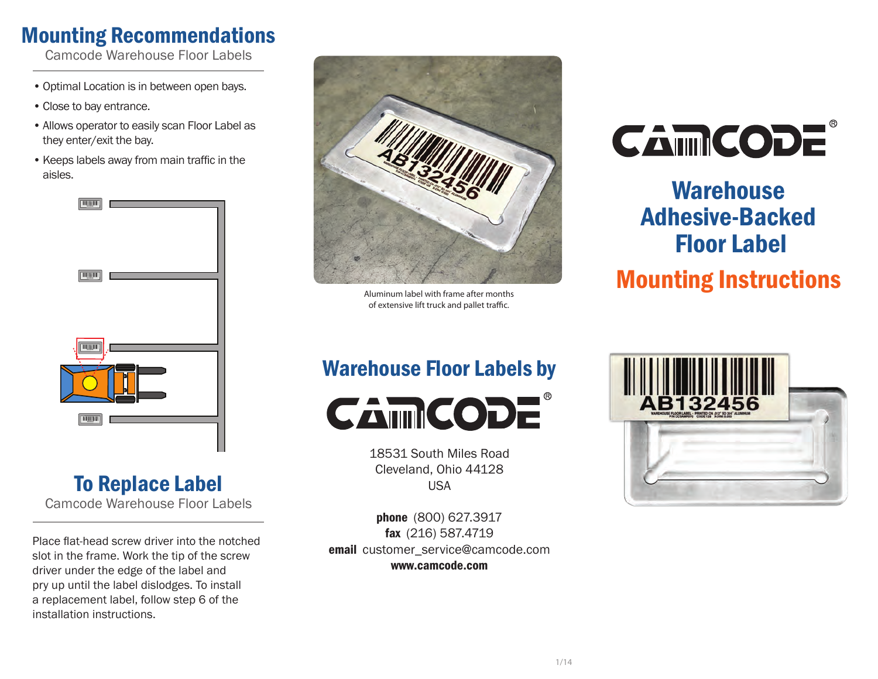### Mounting Recommendations

Camcode Warehouse Floor Labels

- Optimal Location is in between open bays.
- Close to bay entrance.
- Allows operator to easily scan Floor Label as they enter/exit the bay.
- Keeps labels away from main traffic in the aisles.



### To Replace Label Camcode Warehouse Floor Labels

Place fat-head screw driver into the notched slot in the frame. Work the tip of the screw driver under the edge of the label and pry up until the label dislodges. To install a replacement label, follow step 6 of the installation instructions.



of extensive lift truck and pallet traffic.

### Warehouse Floor Labels by



18531 South Miles Road Cleveland, Ohio 44128 USA

phone (800) 627.3917 fax (216) 587.4719 email customer\_service@camcode.com www.camcode.com



# **Warehouse** Adhesive-Backed Floor Label